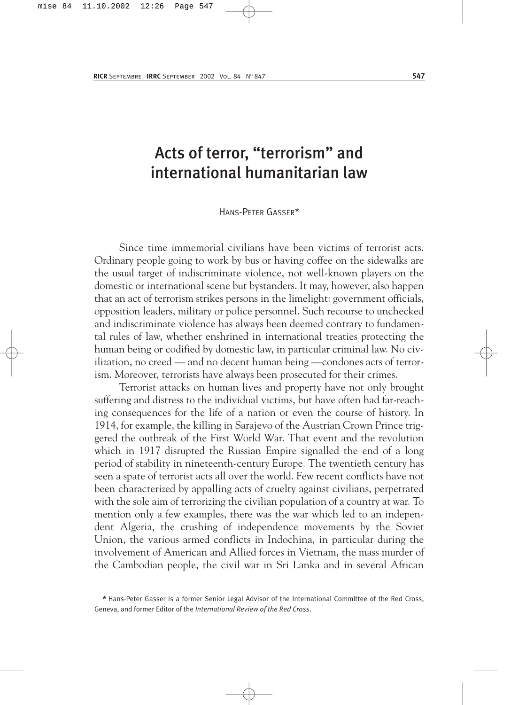# Acts of terror, "terrorism" and international humanitarian law

## HANS-PETER GASSER\*

Since time immemorial civilians have been victims of terrorist acts. Ordinary people going to work by bus or having coffee on the sidewalks are the usual target of indiscriminate violence, not well-known players on the domestic or international scene but bystanders. It may, however, also happen that an act of terrorism strikes persons in the limelight: government officials, opposition leaders, military or police personnel. Such recourse to unchecked and indiscriminate violence has always been deemed contrary to fundamental rules of law, whether enshrined in international treaties protecting the human being or codified by domestic law, in particular criminal law. No civilization, no creed — and no decent human being —condones acts of terrorism. Moreover, terrorists have always been prosecuted for their crimes.

Terrorist attacks on human lives and property have not only brought suffering and distress to the individual victims, but have often had far-reaching consequences for the life of a nation or even the course of history. In 1914, for example, the killing in Sarajevo of the Austrian Crown Prince triggered the outbreak of the First World War. That event and the revolution which in 1917 disrupted the Russian Empire signalled the end of a long period of stability in nineteenth-century Europe. The twentieth century has seen a spate of terrorist acts all over the world. Few recent conflicts have not been characterized by appalling acts of cruelty against civilians, perpetrated with the sole aim of terrorizing the civilian population of a country at war. To mention only a few examples, there was the war which led to an independent Algeria, the crushing of independence movements by the Soviet Union, the various armed conflicts in Indochina, in particular during the involvement of American and Allied forces in Vietnam, the mass murder of the Cambodian people, the civil war in Sri Lanka and in several African

<sup>\*</sup> Hans-Peter Gasser is a former Senior Legal Advisor of the International Committee of the Red Cross, Geneva, and former Editor of the *International Review of the Red Cross*.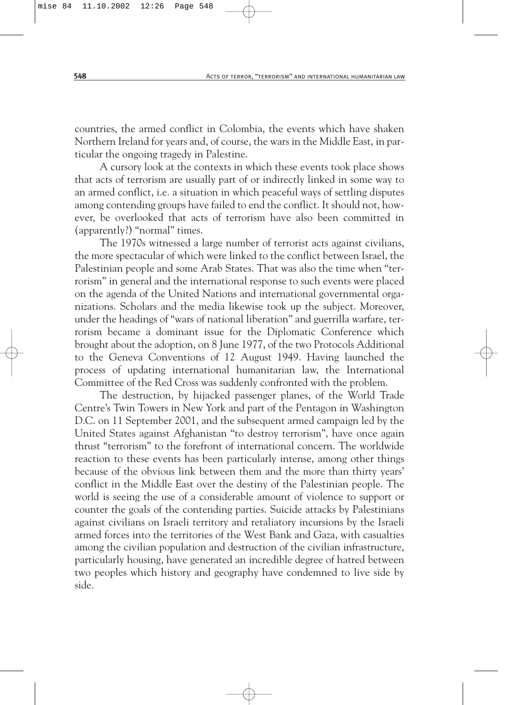countries, the armed conflict in Colombia, the events which have shaken Northern Ireland for years and, of course, the wars in the Middle East, in particular the ongoing tragedy in Palestine.

A cursory look at the contexts in which these events took place shows that acts of terrorism are usually part of or indirectly linked in some way to an armed conflict, i.e. a situation in which peaceful ways of settling disputes among contending groups have failed to end the conflict. It should not, however, be overlooked that acts of terrorism have also been committed in (apparently?) "normal" times.

The 1970s witnessed a large number of terrorist acts against civilians, the more spectacular of which were linked to the conflict between Israel, the Palestinian people and some Arab States. That was also the time when "terrorism" in general and the international response to such events were placed on the agenda of the United Nations and international governmental organizations. Scholars and the media likewise took up the subject. Moreover, under the headings of "wars of national liberation" and guerrilla warfare, terrorism became a dominant issue for the Diplomatic Conference which brought about the adoption, on 8 June 1977, of the two Protocols Additional to the Geneva Conventions of 12 August 1949. Having launched the process of updating international humanitarian law, the International Committee of the Red Cross was suddenly confronted with the problem.

The destruction, by hijacked passenger planes, of the World Trade Centre's Twin Towers in New York and part of the Pentagon in Washington D.C. on 11 September 2001, and the subsequent armed campaign led by the United States against Afghanistan "to destroy terrorism", have once again thrust "terrorism" to the forefront of international concern. The worldwide reaction to these events has been particularly intense, among other things because of the obvious link between them and the more than thirty years' conflict in the Middle East over the destiny of the Palestinian people. The world is seeing the use of a considerable amount of violence to support or counter the goals of the contending parties. Suicide attacks by Palestinians against civilians on Israeli territory and retaliatory incursions by the Israeli armed forces into the territories of the West Bank and Gaza, with casualties among the civilian population and destruction of the civilian infrastructure, particularly housing, have generated an incredible degree of hatred between two peoples which history and geography have condemned to live side by side.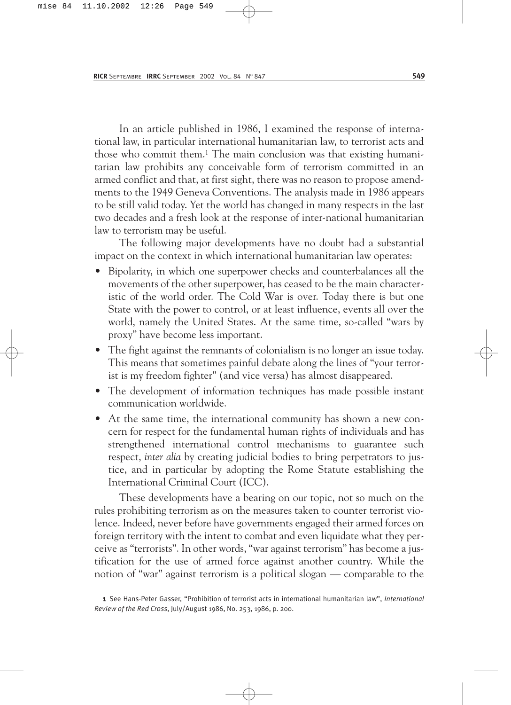In an article published in 1986, I examined the response of international law, in particular international humanitarian law, to terrorist acts and those who commit them.1 The main conclusion was that existing humanitarian law prohibits any conceivable form of terrorism committed in an armed conflict and that, at first sight, there was no reason to propose amendments to the 1949 Geneva Conventions. The analysis made in 1986 appears to be still valid today. Yet the world has changed in many respects in the last two decades and a fresh look at the response of inter-national humanitarian law to terrorism may be useful.

The following major developments have no doubt had a substantial impact on the context in which international humanitarian law operates:

- Bipolarity, in which one superpower checks and counterbalances all the movements of the other superpower, has ceased to be the main characteristic of the world order. The Cold War is over. Today there is but one State with the power to control, or at least influence, events all over the world, namely the United States. At the same time, so-called "wars by proxy" have become less important.
- The fight against the remnants of colonialism is no longer an issue today. This means that sometimes painful debate along the lines of "your terrorist is my freedom fighter" (and vice versa) has almost disappeared.
- The development of information techniques has made possible instant communication worldwide.
- At the same time, the international community has shown a new concern for respect for the fundamental human rights of individuals and has strengthened international control mechanisms to guarantee such respect, *inter alia* by creating judicial bodies to bring perpetrators to justice, and in particular by adopting the Rome Statute establishing the International Criminal Court (ICC).

These developments have a bearing on our topic, not so much on the rules prohibiting terrorism as on the measures taken to counter terrorist violence. Indeed, never before have governments engaged their armed forces on foreign territory with the intent to combat and even liquidate what they perceive as "terrorists". In other words, "war against terrorism" has become a justification for the use of armed force against another country. While the notion of "war" against terrorism is a political slogan — comparable to the

<sup>1</sup> See Hans-Peter Gasser, "Prohibition of terrorist acts in international humanitarian law", *International Review of the Red Cross*, July/August 1986, No. 253, 1986, p. 200.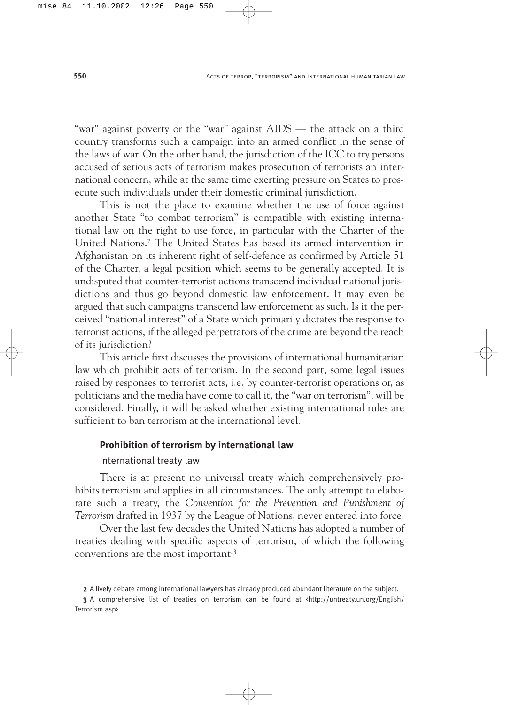"war" against poverty or the "war" against AIDS — the attack on a third country transforms such a campaign into an armed conflict in the sense of the laws of war. On the other hand, the jurisdiction of the ICC to try persons accused of serious acts of terrorism makes prosecution of terrorists an international concern, while at the same time exerting pressure on States to prosecute such individuals under their domestic criminal jurisdiction.

This is not the place to examine whether the use of force against another State "to combat terrorism" is compatible with existing international law on the right to use force, in particular with the Charter of the United Nations.2 The United States has based its armed intervention in Afghanistan on its inherent right of self-defence as confirmed by Article 51 of the Charter, a legal position which seems to be generally accepted. It is undisputed that counter-terrorist actions transcend individual national jurisdictions and thus go beyond domestic law enforcement. It may even be argued that such campaigns transcend law enforcement as such. Is it the perceived "national interest" of a State which primarily dictates the response to terrorist actions, if the alleged perpetrators of the crime are beyond the reach of its jurisdiction?

This article first discusses the provisions of international humanitarian law which prohibit acts of terrorism. In the second part, some legal issues raised by responses to terrorist acts, i.e. by counter-terrorist operations or, as politicians and the media have come to call it, the "war on terrorism", will be considered. Finally, it will be asked whether existing international rules are sufficient to ban terrorism at the international level.

## **Prohibition of terrorism by international law**

### International treaty law

There is at present no universal treaty which comprehensively prohibits terrorism and applies in all circumstances. The only attempt to elaborate such a treaty, the *Convention for the Prevention and Punishment of Terrorism* drafted in 1937 by the League of Nations, never entered into force.

Over the last few decades the United Nations has adopted a number of treaties dealing with specific aspects of terrorism, of which the following conventions are the most important:3

<sup>2</sup> A lively debate among international lawyers has already produced abundant literature on the subject.

<sup>3</sup> A comprehensive list of treaties on terrorism can be found at <http://untreaty.un.org/English/ Terrorism.asp>.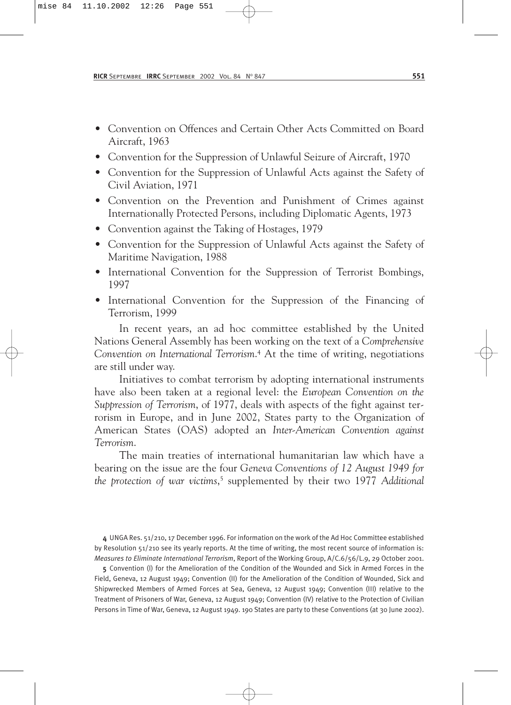- Convention on Offences and Certain Other Acts Committed on Board Aircraft, 1963
- Convention for the Suppression of Unlawful Seizure of Aircraft, 1970
- Convention for the Suppression of Unlawful Acts against the Safety of Civil Aviation, 1971
- Convention on the Prevention and Punishment of Crimes against Internationally Protected Persons, including Diplomatic Agents, 1973
- Convention against the Taking of Hostages, 1979
- Convention for the Suppression of Unlawful Acts against the Safety of Maritime Navigation, 1988
- International Convention for the Suppression of Terrorist Bombings, 1997
- International Convention for the Suppression of the Financing of Terrorism, 1999

In recent years, an ad hoc committee established by the United Nations General Assembly has been working on the text of a *Comprehensive Convention on International Terrorism*. <sup>4</sup> At the time of writing, negotiations are still under way.

Initiatives to combat terrorism by adopting international instruments have also been taken at a regional level: the *European Convention on the Suppression of Terrorism*, of 1977, deals with aspects of the fight against terrorism in Europe, and in June 2002, States party to the Organization of American States (OAS) adopted an *Inter-American Convention against Terrorism*.

The main treaties of international humanitarian law which have a bearing on the issue are the four *Geneva Conventions of 12 August 1949 for the protection of war victims*, <sup>5</sup> supplemented by their two 1977 *Additional*

4 UNGA Res. 51/210, 17 December 1996. For information on the work of the Ad Hoc Committee established by Resolution 51/210 see its yearly reports. At the time of writing, the most recent source of information is: *Measures to Eliminate International Terrorism*, Report of the Working Group, A/C.6/56/L.9, 29 October 2001.

5 Convention (I) for the Amelioration of the Condition of the Wounded and Sick in Armed Forces in the Field, Geneva, 12 August 1949; Convention (II) for the Amelioration of the Condition of Wounded, Sick and Shipwrecked Members of Armed Forces at Sea, Geneva, 12 August 1949; Convention (III) relative to the Treatment of Prisoners of War, Geneva, 12 August 1949; Convention (IV) relative to the Protection of Civilian Persons in Time of War, Geneva, 12 August 1949. 190 States are party to these Conventions (at 30 June 2002).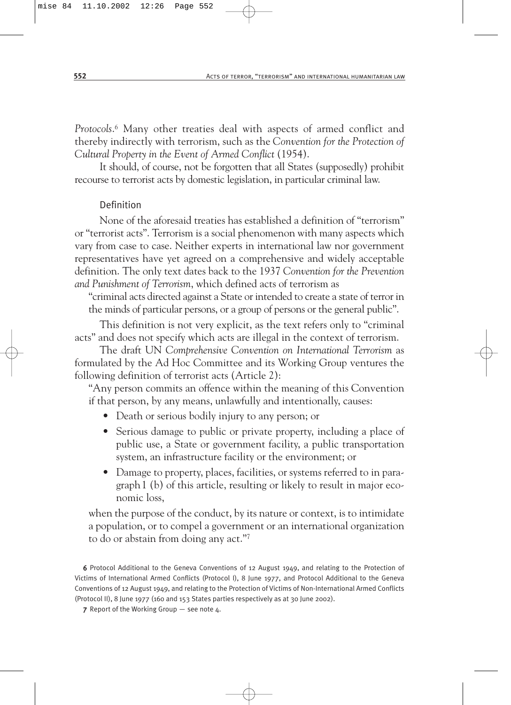*Protocols*. <sup>6</sup> Many other treaties deal with aspects of armed conflict and thereby indirectly with terrorism, such as the *Convention for the Protection of Cultural Property in the Event of Armed Conflict* (1954).

It should, of course, not be forgotten that all States (supposedly) prohibit recourse to terrorist acts by domestic legislation, in particular criminal law.

### Definition

None of the aforesaid treaties has established a definition of "terrorism" or "terrorist acts". Terrorism is a social phenomenon with many aspects which vary from case to case. Neither experts in international law nor government representatives have yet agreed on a comprehensive and widely acceptable definition. The only text dates back to the 1937 *Convention for the Prevention and Punishment of Terrorism*, which defined acts of terrorism as

"criminal acts directed against a State or intended to create a state of terror in the minds of particular persons, or a group of persons or the general public".

This definition is not very explicit, as the text refers only to "criminal acts" and does not specify which acts are illegal in the context of terrorism.

The draft UN *Comprehensive Convention on International Terrorism* as formulated by the Ad Hoc Committee and its Working Group ventures the following definition of terrorist acts (Article 2):

"Any person commits an offence within the meaning of this Convention if that person, by any means, unlawfully and intentionally, causes:

- Death or serious bodily injury to any person; or
- Serious damage to public or private property, including a place of public use, a State or government facility, a public transportation system, an infrastructure facility or the environment; or
- Damage to property, places, facilities, or systems referred to in paragraph1 (b) of this article, resulting or likely to result in major economic loss,

when the purpose of the conduct, by its nature or context, is to intimidate a population, or to compel a government or an international organization to do or abstain from doing any act."7

6 Protocol Additional to the Geneva Conventions of 12 August 1949, and relating to the Protection of Victims of International Armed Conflicts (Protocol I), 8 June 1977, and Protocol Additional to the Geneva Conventions of 12 August 1949, and relating to the Protection of Victims of Non-International Armed Conflicts (Protocol II), 8 June 1977 (160 and 153 States parties respectively as at 30 June 2002).

7 Report of the Working Group — see note 4.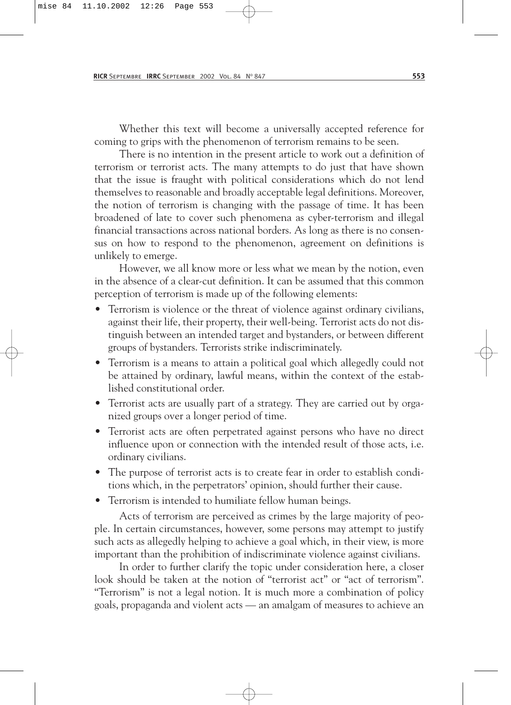Whether this text will become a universally accepted reference for coming to grips with the phenomenon of terrorism remains to be seen.

There is no intention in the present article to work out a definition of terrorism or terrorist acts. The many attempts to do just that have shown that the issue is fraught with political considerations which do not lend themselves to reasonable and broadly acceptable legal definitions. Moreover, the notion of terrorism is changing with the passage of time. It has been broadened of late to cover such phenomena as cyber-terrorism and illegal financial transactions across national borders. As long as there is no consensus on how to respond to the phenomenon, agreement on definitions is unlikely to emerge.

However, we all know more or less what we mean by the notion, even in the absence of a clear-cut definition. It can be assumed that this common perception of terrorism is made up of the following elements:

- Terrorism is violence or the threat of violence against ordinary civilians, against their life, their property, their well-being. Terrorist acts do not distinguish between an intended target and bystanders, or between different groups of bystanders. Terrorists strike indiscriminately.
- Terrorism is a means to attain a political goal which allegedly could not be attained by ordinary, lawful means, within the context of the established constitutional order.
- Terrorist acts are usually part of a strategy. They are carried out by organized groups over a longer period of time.
- Terrorist acts are often perpetrated against persons who have no direct influence upon or connection with the intended result of those acts, i.e. ordinary civilians.
- The purpose of terrorist acts is to create fear in order to establish conditions which, in the perpetrators' opinion, should further their cause.
- Terrorism is intended to humiliate fellow human beings.

Acts of terrorism are perceived as crimes by the large majority of people. In certain circumstances, however, some persons may attempt to justify such acts as allegedly helping to achieve a goal which, in their view, is more important than the prohibition of indiscriminate violence against civilians.

In order to further clarify the topic under consideration here, a closer look should be taken at the notion of "terrorist act" or "act of terrorism".

"Terrorism" is not a legal notion. It is much more a combination of policy goals, propaganda and violent acts — an amalgam of measures to achieve an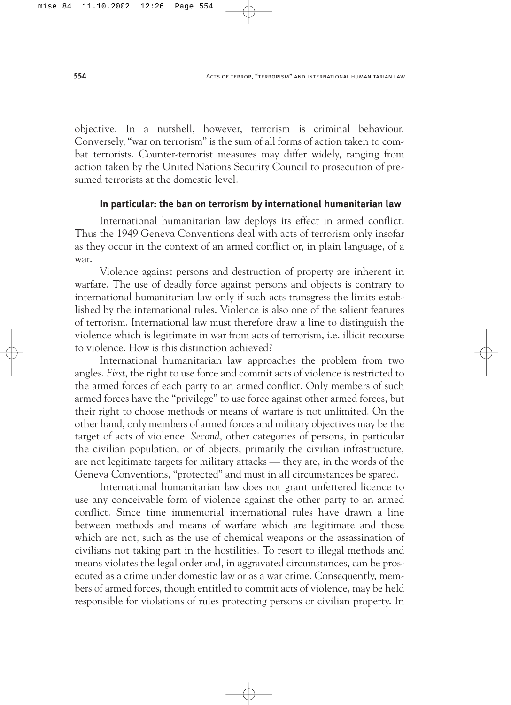objective. In a nutshell, however, terrorism is criminal behaviour. Conversely, "war on terrorism" is the sum of all forms of action taken to combat terrorists. Counter-terrorist measures may differ widely, ranging from action taken by the United Nations Security Council to prosecution of presumed terrorists at the domestic level.

#### **In particular: the ban on terrorism by international humanitarian law**

International humanitarian law deploys its effect in armed conflict. Thus the 1949 Geneva Conventions deal with acts of terrorism only insofar as they occur in the context of an armed conflict or, in plain language, of a war.

Violence against persons and destruction of property are inherent in warfare. The use of deadly force against persons and objects is contrary to international humanitarian law only if such acts transgress the limits established by the international rules. Violence is also one of the salient features of terrorism. International law must therefore draw a line to distinguish the violence which is legitimate in war from acts of terrorism, i.e. illicit recourse to violence. How is this distinction achieved?

International humanitarian law approaches the problem from two angles. *First*, the right to use force and commit acts of violence is restricted to the armed forces of each party to an armed conflict. Only members of such armed forces have the "privilege" to use force against other armed forces, but their right to choose methods or means of warfare is not unlimited. On the other hand, only members of armed forces and military objectives may be the target of acts of violence. *Second*, other categories of persons, in particular the civilian population, or of objects, primarily the civilian infrastructure, are not legitimate targets for military attacks — they are, in the words of the Geneva Conventions, "protected" and must in all circumstances be spared.

International humanitarian law does not grant unfettered licence to use any conceivable form of violence against the other party to an armed conflict. Since time immemorial international rules have drawn a line between methods and means of warfare which are legitimate and those which are not, such as the use of chemical weapons or the assassination of civilians not taking part in the hostilities. To resort to illegal methods and means violates the legal order and, in aggravated circumstances, can be prosecuted as a crime under domestic law or as a war crime. Consequently, members of armed forces, though entitled to commit acts of violence, may be held responsible for violations of rules protecting persons or civilian property. In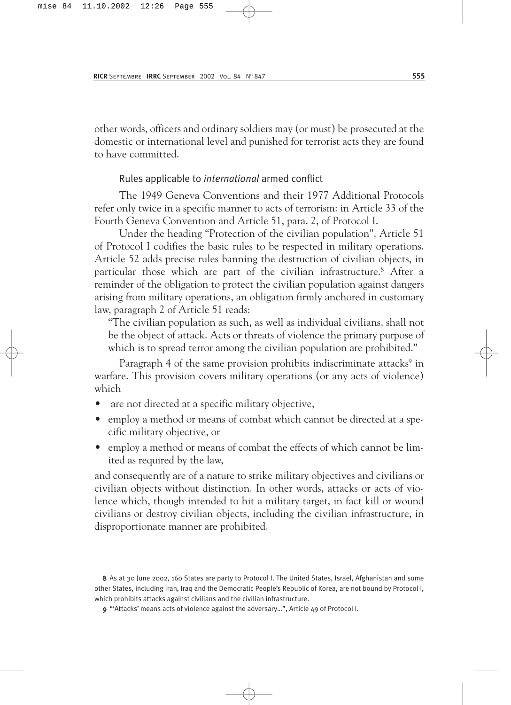other words, officers and ordinary soldiers may (or must) be prosecuted at the domestic or international level and punished for terrorist acts they are found to have committed.

#### Rules applicable to *international* armed conflict

The 1949 Geneva Conventions and their 1977 Additional Protocols refer only twice in a specific manner to acts of terrorism: in Article 33 of the Fourth Geneva Convention and Article 51, para. 2, of Protocol I.

Under the heading "Protection of the civilian population", Article 51 of Protocol I codifies the basic rules to be respected in military operations. Article 52 adds precise rules banning the destruction of civilian objects, in particular those which are part of the civilian infrastructure.8 After a reminder of the obligation to protect the civilian population against dangers arising from military operations, an obligation firmly anchored in customary law, paragraph 2 of Article 51 reads:

"The civilian population as such, as well as individual civilians, shall not be the object of attack. Acts or threats of violence the primary purpose of which is to spread terror among the civilian population are prohibited."

Paragraph 4 of the same provision prohibits indiscriminate attacks<sup>9</sup> in warfare. This provision covers military operations (or any acts of violence) which

- are not directed at a specific military objective,
- employ a method or means of combat which cannot be directed at a specific military objective, or
- employ a method or means of combat the effects of which cannot be limited as required by the law,

and consequently are of a nature to strike military objectives and civilians or civilian objects without distinction. In other words, attacks or acts of violence which, though intended to hit a military target, in fact kill or wound civilians or destroy civilian objects, including the civilian infrastructure, in disproportionate manner are prohibited.

<sup>8</sup> As at 30 June 2002, 160 States are party to Protocol I. The United States, Israel, Afghanistan and some other States, including Iran, Iraq and the Democratic People's Republic of Korea, are not bound by Protocol I, which prohibits attacks against civilians and the civilian infrastructure.

<sup>9</sup> "'Attacks' means acts of violence against the adversary…", Article 49 of Protocol I.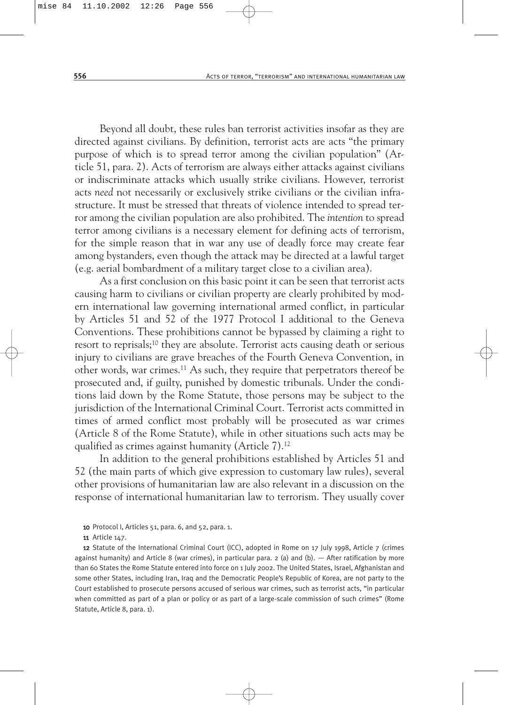Beyond all doubt, these rules ban terrorist activities insofar as they are directed against civilians. By definition, terrorist acts are acts "the primary purpose of which is to spread terror among the civilian population" (Article 51, para. 2). Acts of terrorism are always either attacks against civilians or indiscriminate attacks which usually strike civilians. However, terrorist acts *need* not necessarily or exclusively strike civilians or the civilian infrastructure. It must be stressed that threats of violence intended to spread terror among the civilian population are also prohibited. The *intention* to spread terror among civilians is a necessary element for defining acts of terrorism, for the simple reason that in war any use of deadly force may create fear among bystanders, even though the attack may be directed at a lawful target (e.g. aerial bombardment of a military target close to a civilian area).

As a first conclusion on this basic point it can be seen that terrorist acts causing harm to civilians or civilian property are clearly prohibited by modern international law governing international armed conflict, in particular by Articles 51 and 52 of the 1977 Protocol I additional to the Geneva Conventions. These prohibitions cannot be bypassed by claiming a right to resort to reprisals;10 they are absolute. Terrorist acts causing death or serious injury to civilians are grave breaches of the Fourth Geneva Convention, in other words, war crimes.11 As such, they require that perpetrators thereof be prosecuted and, if guilty, punished by domestic tribunals. Under the conditions laid down by the Rome Statute, those persons may be subject to the jurisdiction of the International Criminal Court. Terrorist acts committed in times of armed conflict most probably will be prosecuted as war crimes (Article 8 of the Rome Statute), while in other situations such acts may be qualified as crimes against humanity (Article 7).12

In addition to the general prohibitions established by Articles 51 and 52 (the main parts of which give expression to customary law rules), several other provisions of humanitarian law are also relevant in a discussion on the response of international humanitarian law to terrorism. They usually cover

12 Statute of the International Criminal Court (ICC), adopted in Rome on 17 July 1998, Article 7 (crimes against humanity) and Article 8 (war crimes), in particular para. 2 (a) and (b). — After ratification by more than 60 States the Rome Statute entered into force on 1 July 2002. The United States, Israel, Afghanistan and some other States, including Iran, Iraq and the Democratic People's Republic of Korea, are not party to the Court established to prosecute persons accused of serious war crimes, such as terrorist acts, "in particular when committed as part of a plan or policy or as part of a large-scale commission of such crimes" (Rome Statute, Article 8, para. 1).

<sup>10</sup> Protocol I, Articles 51, para. 6, and 52, para. 1.

<sup>11</sup> Article 147.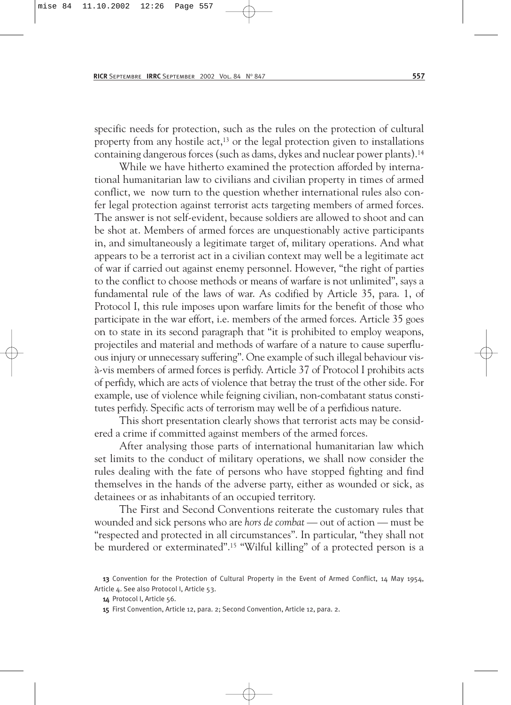specific needs for protection, such as the rules on the protection of cultural property from any hostile  $act<sub>13</sub>$  or the legal protection given to installations containing dangerous forces (such as dams, dykes and nuclear power plants).14

While we have hitherto examined the protection afforded by international humanitarian law to civilians and civilian property in times of armed conflict, we now turn to the question whether international rules also confer legal protection against terrorist acts targeting members of armed forces. The answer is not self-evident, because soldiers are allowed to shoot and can be shot at. Members of armed forces are unquestionably active participants in, and simultaneously a legitimate target of, military operations. And what appears to be a terrorist act in a civilian context may well be a legitimate act of war if carried out against enemy personnel. However, "the right of parties to the conflict to choose methods or means of warfare is not unlimited", says a fundamental rule of the laws of war. As codified by Article 35, para. 1, of Protocol I, this rule imposes upon warfare limits for the benefit of those who participate in the war effort, i.e. members of the armed forces. Article 35 goes on to state in its second paragraph that "it is prohibited to employ weapons, projectiles and material and methods of warfare of a nature to cause superfluous injury or unnecessary suffering". One example of such illegal behaviour visà-vis members of armed forces is perfidy. Article 37 of Protocol I prohibits acts of perfidy, which are acts of violence that betray the trust of the other side. For example, use of violence while feigning civilian, non-combatant status constitutes perfidy. Specific acts of terrorism may well be of a perfidious nature.

This short presentation clearly shows that terrorist acts may be considered a crime if committed against members of the armed forces.

After analysing those parts of international humanitarian law which set limits to the conduct of military operations, we shall now consider the rules dealing with the fate of persons who have stopped fighting and find themselves in the hands of the adverse party, either as wounded or sick, as detainees or as inhabitants of an occupied territory.

The First and Second Conventions reiterate the customary rules that wounded and sick persons who are *hors de combat* — out of action — must be "respected and protected in all circumstances". In particular, "they shall not be murdered or exterminated".15 "Wilful killing" of a protected person is a

<sup>13</sup> Convention for the Protection of Cultural Property in the Event of Armed Conflict, 14 May 1954, Article 4. See also Protocol I, Article 53.

<sup>14</sup> Protocol I, Article 56.

<sup>15</sup> First Convention, Article 12, para. 2; Second Convention, Article 12, para. 2.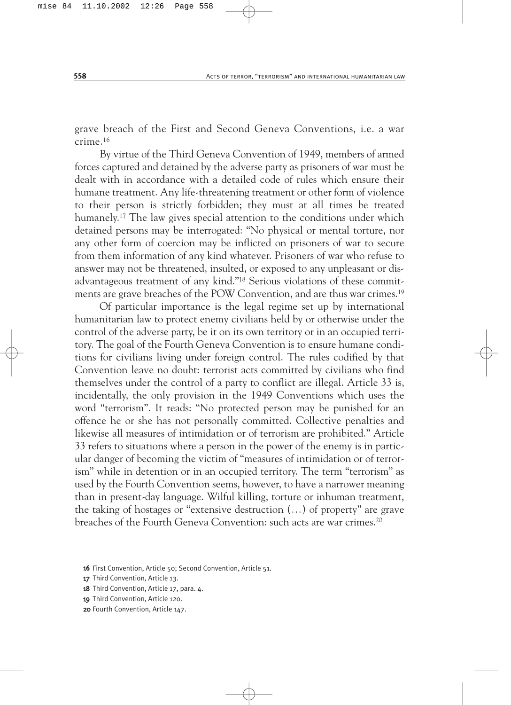grave breach of the First and Second Geneva Conventions, i.e. a war crime.16

By virtue of the Third Geneva Convention of 1949, members of armed forces captured and detained by the adverse party as prisoners of war must be dealt with in accordance with a detailed code of rules which ensure their humane treatment. Any life-threatening treatment or other form of violence to their person is strictly forbidden; they must at all times be treated humanely.17 The law gives special attention to the conditions under which detained persons may be interrogated: "No physical or mental torture, nor any other form of coercion may be inflicted on prisoners of war to secure from them information of any kind whatever. Prisoners of war who refuse to answer may not be threatened, insulted, or exposed to any unpleasant or disadvantageous treatment of any kind."18 Serious violations of these commitments are grave breaches of the POW Convention, and are thus war crimes.<sup>19</sup>

Of particular importance is the legal regime set up by international humanitarian law to protect enemy civilians held by or otherwise under the control of the adverse party, be it on its own territory or in an occupied territory. The goal of the Fourth Geneva Convention is to ensure humane conditions for civilians living under foreign control. The rules codified by that Convention leave no doubt: terrorist acts committed by civilians who find themselves under the control of a party to conflict are illegal. Article 33 is, incidentally, the only provision in the 1949 Conventions which uses the word "terrorism". It reads: "No protected person may be punished for an offence he or she has not personally committed. Collective penalties and likewise all measures of intimidation or of terrorism are prohibited." Article 33 refers to situations where a person in the power of the enemy is in particular danger of becoming the victim of "measures of intimidation or of terrorism" while in detention or in an occupied territory. The term "terrorism" as used by the Fourth Convention seems, however, to have a narrower meaning than in present-day language. Wilful killing, torture or inhuman treatment, the taking of hostages or "extensive destruction (…) of property" are grave breaches of the Fourth Geneva Convention: such acts are war crimes.<sup>20</sup>

- 19 Third Convention, Article 120.
- 20 Fourth Convention, Article 147.

<sup>16</sup> First Convention, Article 50; Second Convention, Article 51.

<sup>17</sup> Third Convention, Article 13.

<sup>18</sup> Third Convention, Article 17, para. 4.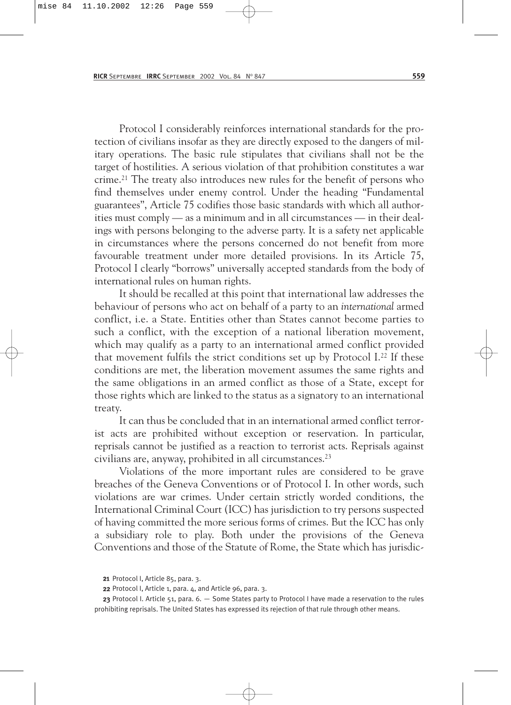Protocol I considerably reinforces international standards for the protection of civilians insofar as they are directly exposed to the dangers of military operations. The basic rule stipulates that civilians shall not be the target of hostilities. A serious violation of that prohibition constitutes a war crime.21 The treaty also introduces new rules for the benefit of persons who find themselves under enemy control. Under the heading "Fundamental guarantees", Article 75 codifies those basic standards with which all authorities must comply — as a minimum and in all circumstances — in their dealings with persons belonging to the adverse party. It is a safety net applicable in circumstances where the persons concerned do not benefit from more favourable treatment under more detailed provisions. In its Article 75, Protocol I clearly "borrows" universally accepted standards from the body of international rules on human rights.

It should be recalled at this point that international law addresses the behaviour of persons who act on behalf of a party to an *international* armed conflict, i.e. a State. Entities other than States cannot become parties to such a conflict, with the exception of a national liberation movement, which may qualify as a party to an international armed conflict provided that movement fulfils the strict conditions set up by Protocol I.22 If these conditions are met, the liberation movement assumes the same rights and the same obligations in an armed conflict as those of a State, except for those rights which are linked to the status as a signatory to an international treaty.

It can thus be concluded that in an international armed conflict terrorist acts are prohibited without exception or reservation. In particular, reprisals cannot be justified as a reaction to terrorist acts. Reprisals against civilians are, anyway, prohibited in all circumstances.23

Violations of the more important rules are considered to be grave breaches of the Geneva Conventions or of Protocol I. In other words, such violations are war crimes. Under certain strictly worded conditions, the International Criminal Court (ICC) has jurisdiction to try persons suspected of having committed the more serious forms of crimes. But the ICC has only a subsidiary role to play. Both under the provisions of the Geneva Conventions and those of the Statute of Rome, the State which has jurisdic-

<sup>21</sup> Protocol I, Article 85, para. 3.

<sup>22</sup> Protocol I, Article 1, para. 4, and Article 96, para. 3.

<sup>23</sup> Protocol I. Article 51, para. 6. - Some States party to Protocol I have made a reservation to the rules prohibiting reprisals. The United States has expressed its rejection of that rule through other means.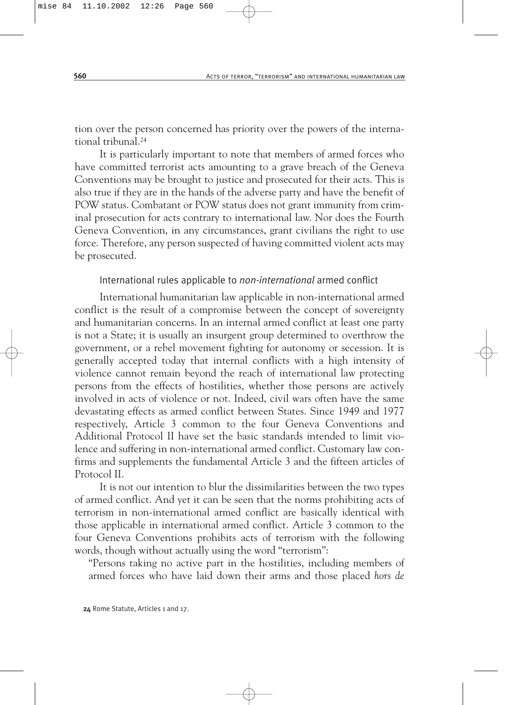tion over the person concerned has priority over the powers of the international tribunal.24

It is particularly important to note that members of armed forces who have committed terrorist acts amounting to a grave breach of the Geneva Conventions may be brought to justice and prosecuted for their acts. This is also true if they are in the hands of the adverse party and have the benefit of POW status. Combatant or POW status does not grant immunity from criminal prosecution for acts contrary to international law. Nor does the Fourth Geneva Convention, in any circumstances, grant civilians the right to use force. Therefore, any person suspected of having committed violent acts may be prosecuted.

### International rules applicable to *non-international* armed conflict

International humanitarian law applicable in non-international armed conflict is the result of a compromise between the concept of sovereignty and humanitarian concerns. In an internal armed conflict at least one party is not a State; it is usually an insurgent group determined to overthrow the government, or a rebel movement fighting for autonomy or secession. It is generally accepted today that internal conflicts with a high intensity of violence cannot remain beyond the reach of international law protecting persons from the effects of hostilities, whether those persons are actively involved in acts of violence or not. Indeed, civil wars often have the same devastating effects as armed conflict between States. Since 1949 and 1977 respectively, Article 3 common to the four Geneva Conventions and Additional Protocol II have set the basic standards intended to limit violence and suffering in non-international armed conflict. Customary law confirms and supplements the fundamental Article 3 and the fifteen articles of Protocol II.

It is not our intention to blur the dissimilarities between the two types of armed conflict. And yet it can be seen that the norms prohibiting acts of terrorism in non-international armed conflict are basically identical with those applicable in international armed conflict. Article 3 common to the four Geneva Conventions prohibits acts of terrorism with the following words, though without actually using the word "terrorism":

"Persons taking no active part in the hostilities, including members of armed forces who have laid down their arms and those placed *hors de*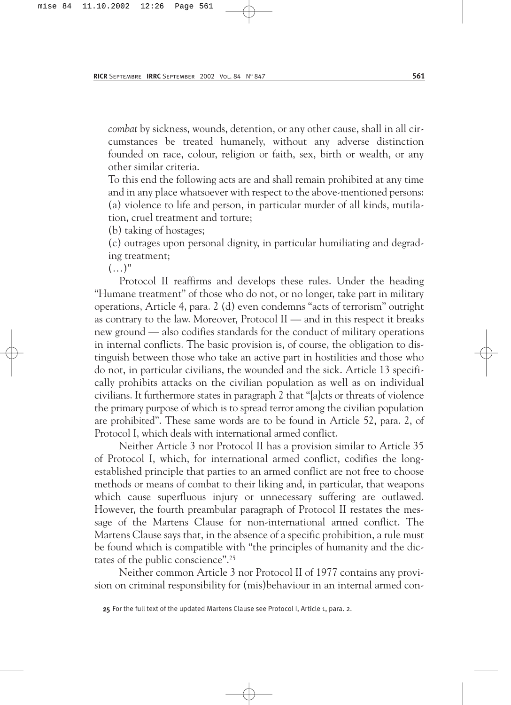*combat* by sickness, wounds, detention, or any other cause, shall in all circumstances be treated humanely, without any adverse distinction founded on race, colour, religion or faith, sex, birth or wealth, or any other similar criteria.

To this end the following acts are and shall remain prohibited at any time and in any place whatsoever with respect to the above-mentioned persons: (a) violence to life and person, in particular murder of all kinds, mutilation, cruel treatment and torture;

(b) taking of hostages;

(c) outrages upon personal dignity, in particular humiliating and degrading treatment;

 $(\ldots)$ "

Protocol II reaffirms and develops these rules. Under the heading "Humane treatment" of those who do not, or no longer, take part in military operations, Article 4, para. 2 (d) even condemns "acts of terrorism" outright as contrary to the law. Moreover, Protocol II — and in this respect it breaks new ground — also codifies standards for the conduct of military operations in internal conflicts. The basic provision is, of course, the obligation to distinguish between those who take an active part in hostilities and those who do not, in particular civilians, the wounded and the sick. Article 13 specifically prohibits attacks on the civilian population as well as on individual civilians. It furthermore states in paragraph 2 that "[a]cts or threats of violence the primary purpose of which is to spread terror among the civilian population are prohibited". These same words are to be found in Article 52, para. 2, of Protocol I, which deals with international armed conflict.

Neither Article 3 nor Protocol II has a provision similar to Article 35 of Protocol I, which, for international armed conflict, codifies the longestablished principle that parties to an armed conflict are not free to choose methods or means of combat to their liking and, in particular, that weapons which cause superfluous injury or unnecessary suffering are outlawed. However, the fourth preambular paragraph of Protocol II restates the message of the Martens Clause for non-international armed conflict. The Martens Clause says that, in the absence of a specific prohibition, a rule must be found which is compatible with "the principles of humanity and the dictates of the public conscience".25

Neither common Article 3 nor Protocol II of 1977 contains any provision on criminal responsibility for (mis)behaviour in an internal armed con-

25 For the full text of the updated Martens Clause see Protocol I, Article 1, para. 2.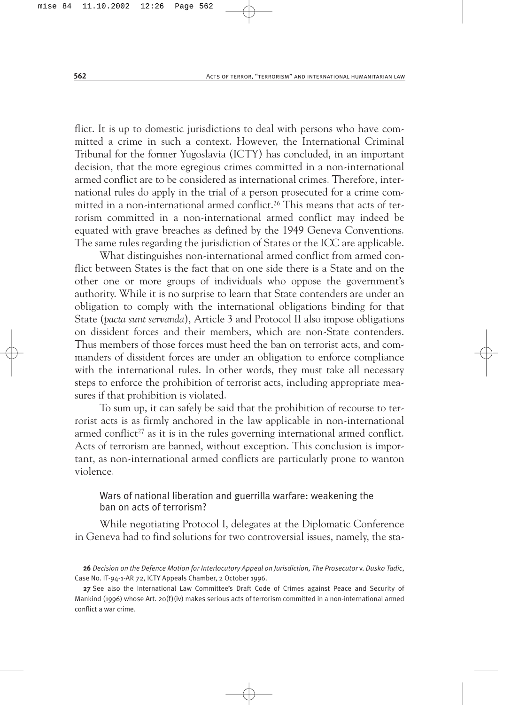flict. It is up to domestic jurisdictions to deal with persons who have committed a crime in such a context. However, the International Criminal Tribunal for the former Yugoslavia (ICTY) has concluded, in an important decision, that the more egregious crimes committed in a non-international armed conflict are to be considered as international crimes. Therefore, international rules do apply in the trial of a person prosecuted for a crime committed in a non-international armed conflict.26 This means that acts of terrorism committed in a non-international armed conflict may indeed be equated with grave breaches as defined by the 1949 Geneva Conventions. The same rules regarding the jurisdiction of States or the ICC are applicable.

What distinguishes non-international armed conflict from armed conflict between States is the fact that on one side there is a State and on the other one or more groups of individuals who oppose the government's authority. While it is no surprise to learn that State contenders are under an obligation to comply with the international obligations binding for that State (*pacta sunt servanda*), Article 3 and Protocol II also impose obligations on dissident forces and their members, which are non-State contenders. Thus members of those forces must heed the ban on terrorist acts, and commanders of dissident forces are under an obligation to enforce compliance with the international rules. In other words, they must take all necessary steps to enforce the prohibition of terrorist acts, including appropriate measures if that prohibition is violated.

To sum up, it can safely be said that the prohibition of recourse to terrorist acts is as firmly anchored in the law applicable in non-international armed conflict<sup> $27$ </sup> as it is in the rules governing international armed conflict. Acts of terrorism are banned, without exception. This conclusion is important, as non-international armed conflicts are particularly prone to wanton violence.

## Wars of national liberation and guerrilla warfare: weakening the ban on acts of terrorism?

While negotiating Protocol I, delegates at the Diplomatic Conference in Geneva had to find solutions for two controversial issues, namely, the sta-

<sup>26</sup> *Decision on the Defence Motion for Interlocutory Appeal on Jurisdiction, The Prosecutor* v. *Dusko Tadic*, Case No. IT-94-1-AR 72, ICTY Appeals Chamber, 2 October 1996.

<sup>27</sup> See also the International Law Committee's Draft Code of Crimes against Peace and Security of Mankind (1996) whose Art. 20(f) (iv) makes serious acts of terrorism committed in a non-international armed conflict a war crime.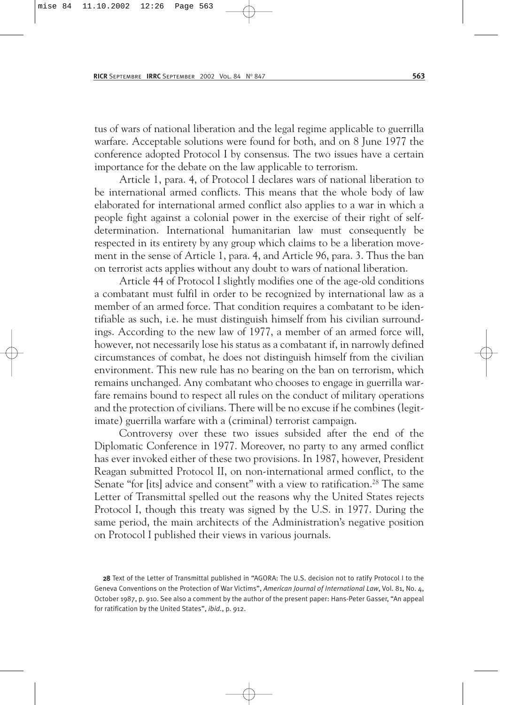tus of wars of national liberation and the legal regime applicable to guerrilla warfare. Acceptable solutions were found for both, and on 8 June 1977 the conference adopted Protocol I by consensus. The two issues have a certain importance for the debate on the law applicable to terrorism.

Article 1, para. 4, of Protocol I declares wars of national liberation to be international armed conflicts. This means that the whole body of law elaborated for international armed conflict also applies to a war in which a people fight against a colonial power in the exercise of their right of selfdetermination. International humanitarian law must consequently be respected in its entirety by any group which claims to be a liberation movement in the sense of Article 1, para. 4, and Article 96, para. 3. Thus the ban on terrorist acts applies without any doubt to wars of national liberation.

Article 44 of Protocol I slightly modifies one of the age-old conditions a combatant must fulfil in order to be recognized by international law as a member of an armed force. That condition requires a combatant to be identifiable as such, i.e. he must distinguish himself from his civilian surroundings. According to the new law of 1977, a member of an armed force will, however, not necessarily lose his status as a combatant if, in narrowly defined circumstances of combat, he does not distinguish himself from the civilian environment. This new rule has no bearing on the ban on terrorism, which remains unchanged. Any combatant who chooses to engage in guerrilla warfare remains bound to respect all rules on the conduct of military operations and the protection of civilians. There will be no excuse if he combines (legitimate) guerrilla warfare with a (criminal) terrorist campaign.

Controversy over these two issues subsided after the end of the Diplomatic Conference in 1977. Moreover, no party to any armed conflict has ever invoked either of these two provisions. In 1987, however, President Reagan submitted Protocol II, on non-international armed conflict, to the Senate "for [its] advice and consent" with a view to ratification.<sup>28</sup> The same Letter of Transmittal spelled out the reasons why the United States rejects Protocol I, though this treaty was signed by the U.S. in 1977. During the same period, the main architects of the Administration's negative position on Protocol I published their views in various journals.

<sup>28</sup> Text of the Letter of Transmittal published in "AGORA: The U.S. decision not to ratify Protocol I to the Geneva Conventions on the Protection of War Victims", *American Journal of International Law*, Vol. 81, No. 4, October 1987, p. 910. See also a comment by the author of the present paper: Hans-Peter Gasser, "An appeal for ratification by the United States", *ibid.*, p. 912.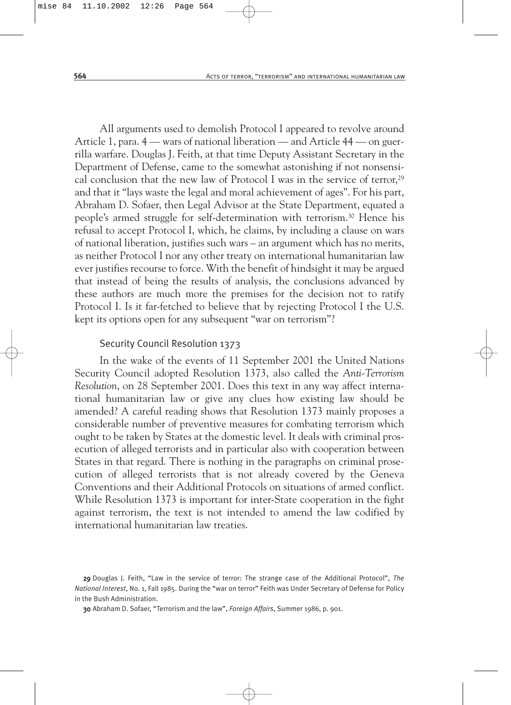All arguments used to demolish Protocol I appeared to revolve around Article 1, para. 4 — wars of national liberation — and Article 44 — on guerrilla warfare. Douglas J. Feith, at that time Deputy Assistant Secretary in the Department of Defense, came to the somewhat astonishing if not nonsensical conclusion that the new law of Protocol I was in the service of terror,<sup>29</sup> and that it "lays waste the legal and moral achievement of ages". For his part, Abraham D. Sofaer, then Legal Advisor at the State Department, equated a people's armed struggle for self-determination with terrorism.30 Hence his refusal to accept Protocol I, which, he claims, by including a clause on wars of national liberation, justifies such wars – an argument which has no merits, as neither Protocol I nor any other treaty on international humanitarian law ever justifies recourse to force. With the benefit of hindsight it may be argued that instead of being the results of analysis, the conclusions advanced by these authors are much more the premises for the decision not to ratify Protocol I. Is it far-fetched to believe that by rejecting Protocol I the U.S. kept its options open for any subsequent "war on terrorism"?

## Security Council Resolution 1373

In the wake of the events of 11 September 2001 the United Nations Security Council adopted Resolution 1373, also called the *Anti-Terrorism Resolution*, on 28 September 2001. Does this text in any way affect international humanitarian law or give any clues how existing law should be amended? A careful reading shows that Resolution 1373 mainly proposes a considerable number of preventive measures for combating terrorism which ought to be taken by States at the domestic level. It deals with criminal prosecution of alleged terrorists and in particular also with cooperation between States in that regard. There is nothing in the paragraphs on criminal prosecution of alleged terrorists that is not already covered by the Geneva Conventions and their Additional Protocols on situations of armed conflict. While Resolution 1373 is important for inter-State cooperation in the fight against terrorism, the text is not intended to amend the law codified by international humanitarian law treaties.

<sup>29</sup> Douglas J. Feith, "Law in the service of terror: The strange case of the Additional Protocol", *The National Interest*, No. 1, Fall 1985. During the "war on terror" Feith was Under Secretary of Defense for Policy in the Bush Administration.

<sup>30</sup> Abraham D. Sofaer, "Terrorism and the law", *Foreign Affairs*, Summer 1986, p. 901.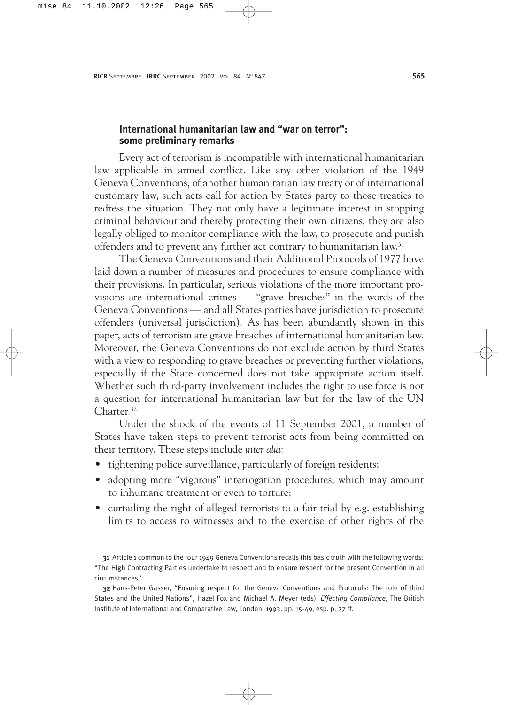## **International humanitarian law and "war on terror": some preliminary remarks**

Every act of terrorism is incompatible with international humanitarian law applicable in armed conflict. Like any other violation of the 1949 Geneva Conventions, of another humanitarian law treaty or of international customary law, such acts call for action by States party to those treaties to redress the situation. They not only have a legitimate interest in stopping criminal behaviour and thereby protecting their own citizens, they are also legally obliged to monitor compliance with the law, to prosecute and punish offenders and to prevent any further act contrary to humanitarian law.31

The Geneva Conventions and their Additional Protocols of 1977 have laid down a number of measures and procedures to ensure compliance with their provisions. In particular, serious violations of the more important provisions are international crimes — "grave breaches" in the words of the Geneva Conventions — and all States parties have jurisdiction to prosecute offenders (universal jurisdiction). As has been abundantly shown in this paper, acts of terrorism are grave breaches of international humanitarian law. Moreover, the Geneva Conventions do not exclude action by third States with a view to responding to grave breaches or preventing further violations, especially if the State concerned does not take appropriate action itself. Whether such third-party involvement includes the right to use force is not a question for international humanitarian law but for the law of the UN Charter.32

Under the shock of the events of 11 September 2001, a number of States have taken steps to prevent terrorist acts from being committed on their territory. These steps include *inter alia*:

- tightening police surveillance, particularly of foreign residents;
- adopting more "vigorous" interrogation procedures, which may amount to inhumane treatment or even to torture;
- curtailing the right of alleged terrorists to a fair trial by e.g. establishing limits to access to witnesses and to the exercise of other rights of the

31 Article 1 common to the four 1949 Geneva Conventions recalls this basic truth with the following words: "The High Contracting Parties undertake to respect and to ensure respect for the present Convention in all circumstances".

32 Hans-Peter Gasser, "Ensuring respect for the Geneva Conventions and Protocols: The role of third States and the United Nations", Hazel Fox and Michael A. Meyer (eds), *Effecting Compliance*, The British Institute of International and Comparative Law, London, 1993, pp. 15-49, esp. p. 27 ff.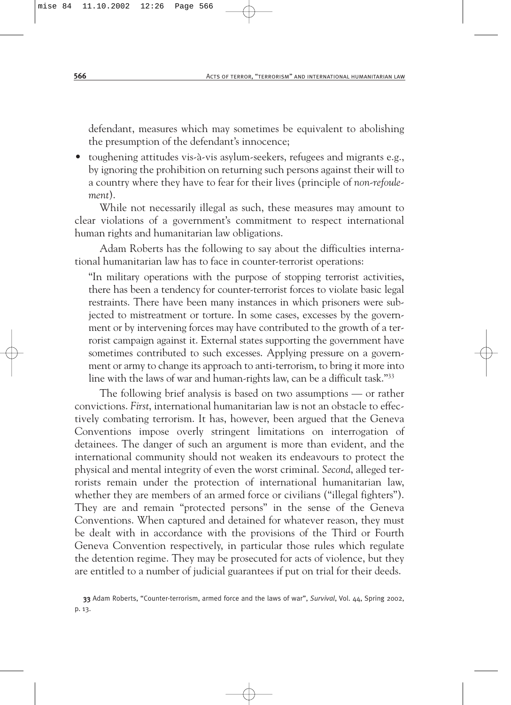defendant, measures which may sometimes be equivalent to abolishing the presumption of the defendant's innocence;

• toughening attitudes vis-à-vis asylum-seekers, refugees and migrants e.g., by ignoring the prohibition on returning such persons against their will to a country where they have to fear for their lives (principle of *non-refoulement*).

While not necessarily illegal as such, these measures may amount to clear violations of a government's commitment to respect international human rights and humanitarian law obligations.

Adam Roberts has the following to say about the difficulties international humanitarian law has to face in counter-terrorist operations:

"In military operations with the purpose of stopping terrorist activities, there has been a tendency for counter-terrorist forces to violate basic legal restraints. There have been many instances in which prisoners were subjected to mistreatment or torture. In some cases, excesses by the government or by intervening forces may have contributed to the growth of a terrorist campaign against it. External states supporting the government have sometimes contributed to such excesses. Applying pressure on a government or army to change its approach to anti-terrorism, to bring it more into line with the laws of war and human-rights law, can be a difficult task."33

The following brief analysis is based on two assumptions — or rather convictions. *First*, international humanitarian law is not an obstacle to effectively combating terrorism. It has, however, been argued that the Geneva Conventions impose overly stringent limitations on interrogation of detainees. The danger of such an argument is more than evident, and the international community should not weaken its endeavours to protect the physical and mental integrity of even the worst criminal. *Second*, alleged terrorists remain under the protection of international humanitarian law, whether they are members of an armed force or civilians ("illegal fighters"). They are and remain "protected persons" in the sense of the Geneva Conventions. When captured and detained for whatever reason, they must be dealt with in accordance with the provisions of the Third or Fourth Geneva Convention respectively, in particular those rules which regulate the detention regime. They may be prosecuted for acts of violence, but they are entitled to a number of judicial guarantees if put on trial for their deeds.

<sup>33</sup> Adam Roberts, "Counter-terrorism, armed force and the laws of war", *Survival*, Vol. 44, Spring 2002, p. 13.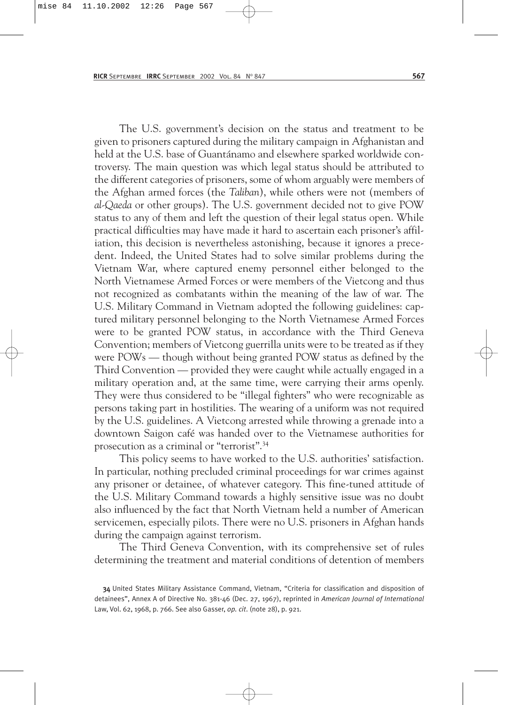The U.S. government's decision on the status and treatment to be given to prisoners captured during the military campaign in Afghanistan and held at the U.S. base of Guantánamo and elsewhere sparked worldwide controversy. The main question was which legal status should be attributed to the different categories of prisoners, some of whom arguably were members of the Afghan armed forces (the *Taliban*), while others were not (members of *al-Qaeda* or other groups). The U.S. government decided not to give POW status to any of them and left the question of their legal status open. While practical difficulties may have made it hard to ascertain each prisoner's affiliation, this decision is nevertheless astonishing, because it ignores a precedent. Indeed, the United States had to solve similar problems during the Vietnam War, where captured enemy personnel either belonged to the North Vietnamese Armed Forces or were members of the Vietcong and thus not recognized as combatants within the meaning of the law of war. The U.S. Military Command in Vietnam adopted the following guidelines: captured military personnel belonging to the North Vietnamese Armed Forces were to be granted POW status, in accordance with the Third Geneva Convention; members of Vietcong guerrilla units were to be treated as if they were POWs — though without being granted POW status as defined by the Third Convention — provided they were caught while actually engaged in a military operation and, at the same time, were carrying their arms openly. They were thus considered to be "illegal fighters" who were recognizable as persons taking part in hostilities. The wearing of a uniform was not required by the U.S. guidelines. A Vietcong arrested while throwing a grenade into a downtown Saigon café was handed over to the Vietnamese authorities for prosecution as a criminal or "terrorist".34

This policy seems to have worked to the U.S. authorities' satisfaction. In particular, nothing precluded criminal proceedings for war crimes against any prisoner or detainee, of whatever category. This fine-tuned attitude of the U.S. Military Command towards a highly sensitive issue was no doubt also influenced by the fact that North Vietnam held a number of American servicemen, especially pilots. There were no U.S. prisoners in Afghan hands during the campaign against terrorism.

The Third Geneva Convention, with its comprehensive set of rules determining the treatment and material conditions of detention of members

<sup>34</sup> United States Military Assistance Command, Vietnam, "Criteria for classification and disposition of detainees", Annex A of Directive No. 381-46 (Dec. 27, 1967), reprinted in *American Journal of International* Law, Vol. 62, 1968, p. 766. See also Gasser, *op. cit*. (note 28), p. 921.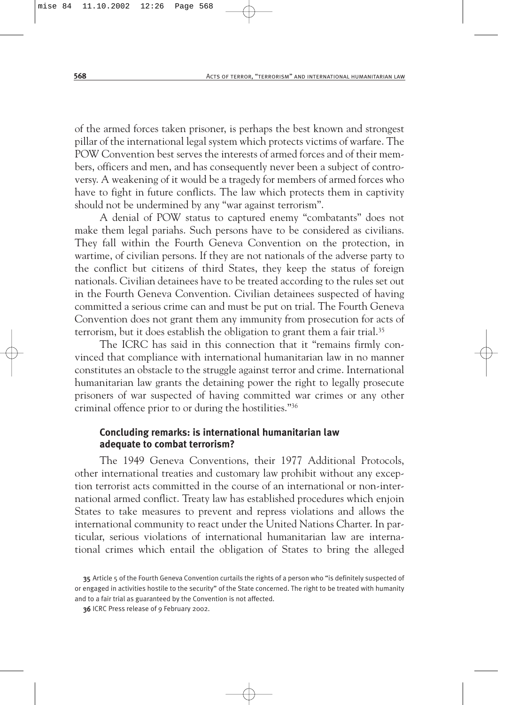of the armed forces taken prisoner, is perhaps the best known and strongest pillar of the international legal system which protects victims of warfare. The POW Convention best serves the interests of armed forces and of their members, officers and men, and has consequently never been a subject of controversy. A weakening of it would be a tragedy for members of armed forces who have to fight in future conflicts. The law which protects them in captivity should not be undermined by any "war against terrorism".

A denial of POW status to captured enemy "combatants" does not make them legal pariahs. Such persons have to be considered as civilians. They fall within the Fourth Geneva Convention on the protection, in wartime, of civilian persons. If they are not nationals of the adverse party to the conflict but citizens of third States, they keep the status of foreign nationals. Civilian detainees have to be treated according to the rules set out in the Fourth Geneva Convention. Civilian detainees suspected of having committed a serious crime can and must be put on trial. The Fourth Geneva Convention does not grant them any immunity from prosecution for acts of terrorism, but it does establish the obligation to grant them a fair trial.<sup>35</sup>

The ICRC has said in this connection that it "remains firmly convinced that compliance with international humanitarian law in no manner constitutes an obstacle to the struggle against terror and crime. International humanitarian law grants the detaining power the right to legally prosecute prisoners of war suspected of having committed war crimes or any other criminal offence prior to or during the hostilities."36

## **Concluding remarks: is international humanitarian law adequate to combat terrorism?**

The 1949 Geneva Conventions, their 1977 Additional Protocols, other international treaties and customary law prohibit without any exception terrorist acts committed in the course of an international or non-international armed conflict. Treaty law has established procedures which enjoin States to take measures to prevent and repress violations and allows the international community to react under the United Nations Charter. In particular, serious violations of international humanitarian law are international crimes which entail the obligation of States to bring the alleged

<sup>35</sup> Article 5 of the Fourth Geneva Convention curtails the rights of a person who "is definitely suspected of or engaged in activities hostile to the security" of the State concerned. The right to be treated with humanity and to a fair trial as guaranteed by the Convention is not affected.

<sup>36</sup> ICRC Press release of 9 February 2002.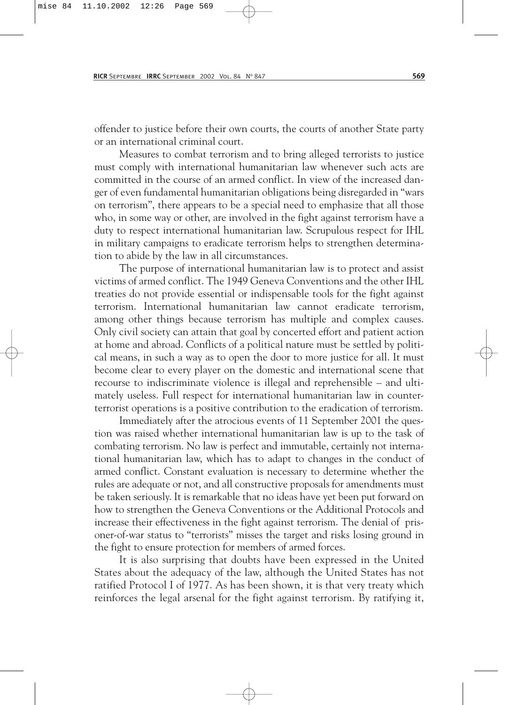offender to justice before their own courts, the courts of another State party or an international criminal court.

Measures to combat terrorism and to bring alleged terrorists to justice must comply with international humanitarian law whenever such acts are committed in the course of an armed conflict. In view of the increased danger of even fundamental humanitarian obligations being disregarded in "wars on terrorism", there appears to be a special need to emphasize that all those who, in some way or other, are involved in the fight against terrorism have a duty to respect international humanitarian law. Scrupulous respect for IHL in military campaigns to eradicate terrorism helps to strengthen determination to abide by the law in all circumstances.

The purpose of international humanitarian law is to protect and assist victims of armed conflict. The 1949 Geneva Conventions and the other IHL treaties do not provide essential or indispensable tools for the fight against terrorism. International humanitarian law cannot eradicate terrorism, among other things because terrorism has multiple and complex causes. Only civil society can attain that goal by concerted effort and patient action at home and abroad. Conflicts of a political nature must be settled by political means, in such a way as to open the door to more justice for all. It must become clear to every player on the domestic and international scene that recourse to indiscriminate violence is illegal and reprehensible – and ultimately useless. Full respect for international humanitarian law in counterterrorist operations is a positive contribution to the eradication of terrorism.

Immediately after the atrocious events of 11 September 2001 the question was raised whether international humanitarian law is up to the task of combating terrorism. No law is perfect and immutable, certainly not international humanitarian law, which has to adapt to changes in the conduct of armed conflict. Constant evaluation is necessary to determine whether the rules are adequate or not, and all constructive proposals for amendments must be taken seriously. It is remarkable that no ideas have yet been put forward on how to strengthen the Geneva Conventions or the Additional Protocols and increase their effectiveness in the fight against terrorism. The denial of prisoner-of-war status to "terrorists" misses the target and risks losing ground in the fight to ensure protection for members of armed forces.

It is also surprising that doubts have been expressed in the United States about the adequacy of the law, although the United States has not ratified Protocol I of 1977. As has been shown, it is that very treaty which reinforces the legal arsenal for the fight against terrorism. By ratifying it,